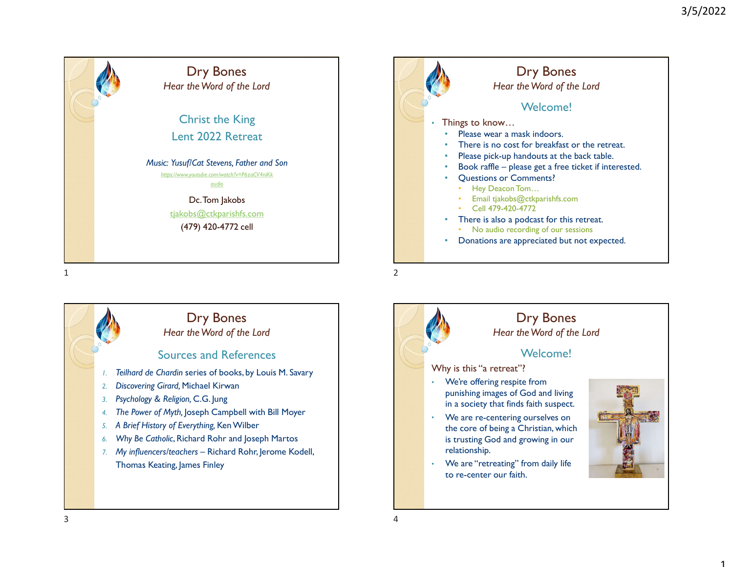





# Dry Bones

## Hear the Word of the Lord

#### Welcome!

- We're offering respite from punishing images of God and living in a society that finds faith suspect.
- We are re-centering ourselves on the core of being a Christian, which is trusting God and growing in our
- We are "retreating" from daily life to re-center our faith.

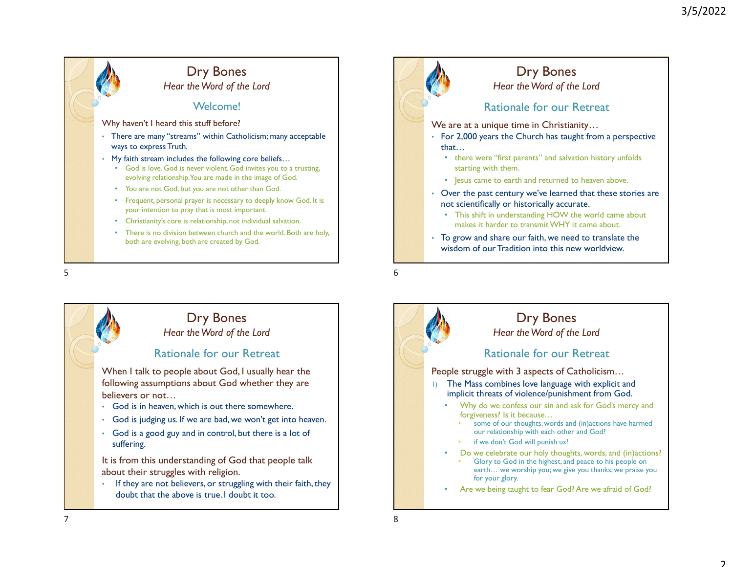



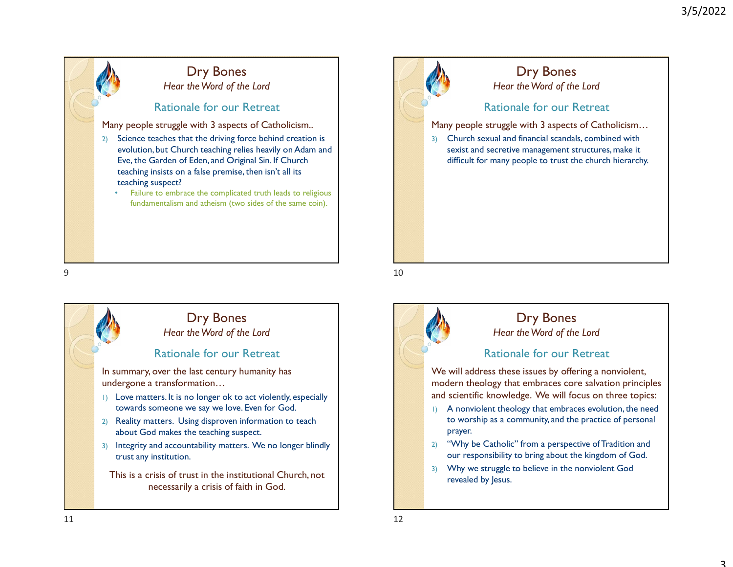# Rationale for our Retreat Many people struggle with 3 aspects of Catholicism.. 2) Science teaches that the driving force behind creation is evolution, but Church teaching relies heavily on Adam and Eve, the Garden of Eden, and Original Sin. If Church teaching insists on a false premise, then isn't all its teaching suspect? • Failure to embrace the complicated truth leads to religious fundamentalism and atheism (two sides of the same coin). Dry Bones Hear the Word of the Lord





## Rationale for our Retreat We will address these issues by offering a nonviolent, modern theology that embraces core salvation principles and scientific knowledge. We will focus on three topics: 1) A nonviolent theology that embraces evolution, the need to worship as a community, and the practice of personal prayer. 2) "Why be Catholic" from a perspective of Tradition and our responsibility to bring about the kingdom of God. 3) Why we struggle to believe in the nonviolent God revealed by Jesus. Dry Bones Hear the Word of the Lord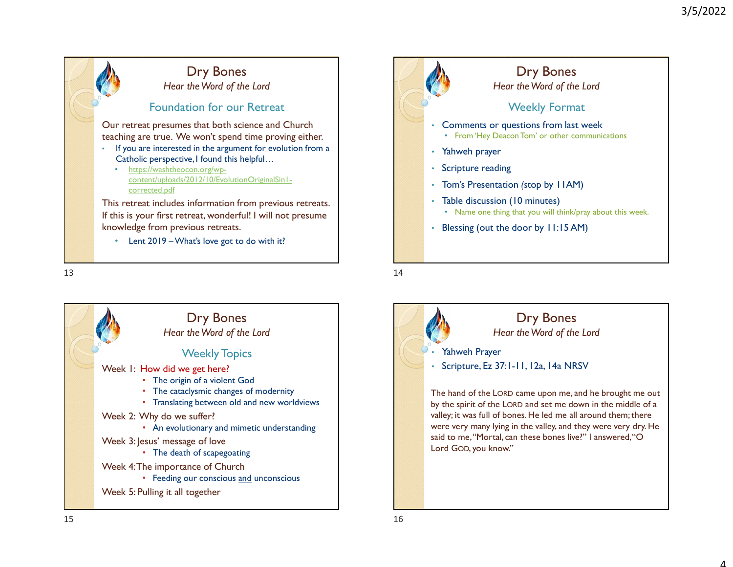



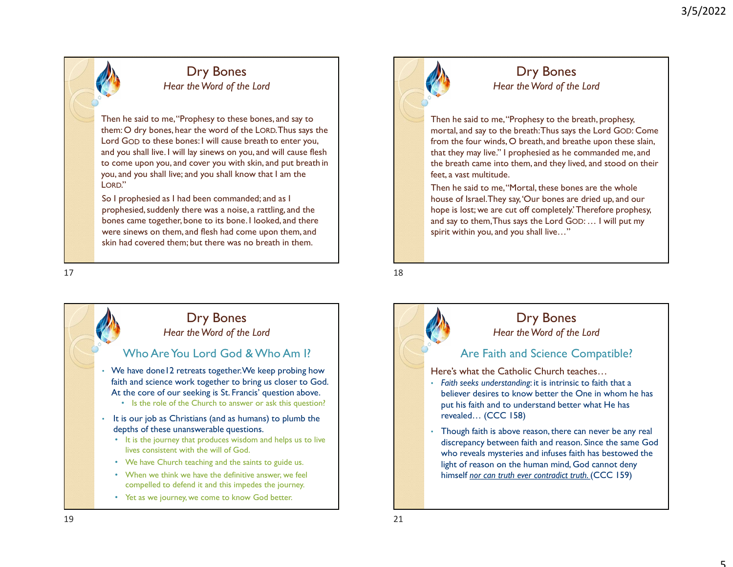## Dry Bones Hear the Word of the Lord

Then he said to me, "Prophesy to these bones, and say to them: O dry bones, hear the word of the LORD. Thus says the Lord Then he said to me, "Prophesy to these bones, and say to<br>
Then he said to me, "Prophesy to these bones, and say to<br>
them: O dry bones, hear the word of the LORD. Thus says the<br>
Lord GoD to these bones: I will cause br and you shall live. I will lay sinews on you, and will cause flesh Examples the message of the Lord of the Lord of the Lord of the Lord of the Lord of the Lord of the Lord of the Lord of the Lord of the Lord of the Lord of the Lord of the Lord of the Lord of the Lord of the Lord of the Lo you, and you shall live; and you shall know that I am the LORD."

So I prophesied as I had been commanded; and as I prophesied, suddenly there was a noise, a rattling, and the bones came together, bone to its bone. I looked, and there were sinews on them, and flesh had come upon them, and skin had covered them; but there was no breath in them.





Then he said to me, "Prophesy to the breath, prophesy, mortal, and say to the breath: Thus says the Lord GOD: Come from the four winds, O breath, and breathe upon these slain, that they may live." I prophesied as he commanded me, and the breath came into them, and they lived, and stood on their feet, a vast multitude.

Then he said to me, "Mortal, these bones are the whole house of Israel. They say, 'Our bones are dried up, and our hope is lost; we are cut off completely.' Therefore prophesy, and say to them, Thus says the Lord GOD: … I will put my spirit within you, and you shall live…"



discrepancy between faith and reason. Since the same God who reveals mysteries and infuses faith has bestowed the light of reason on the human mind, God cannot deny himself nor can truth ever contradict truth. (CCC 159)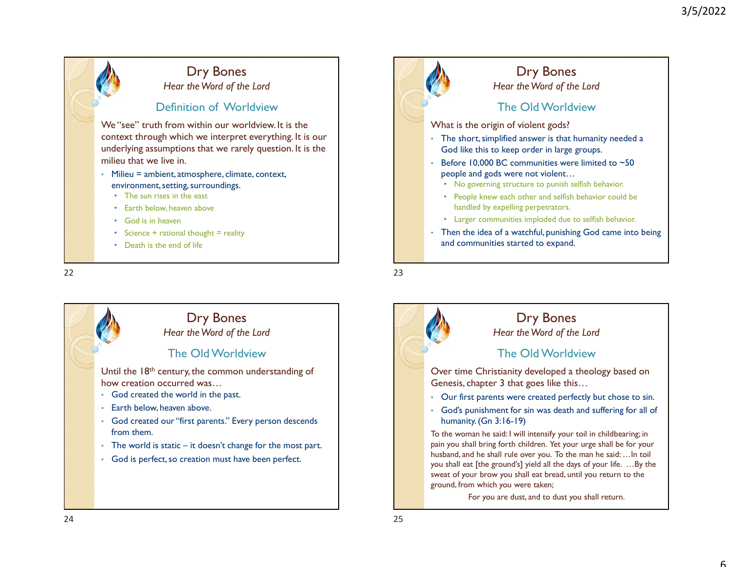





husband, and he shall rule over you. To the man he said: …In toil sweat of your brow you shall eat bread, until you return to the ground, from which you were taken;

For you are dust, and to dust you shall return.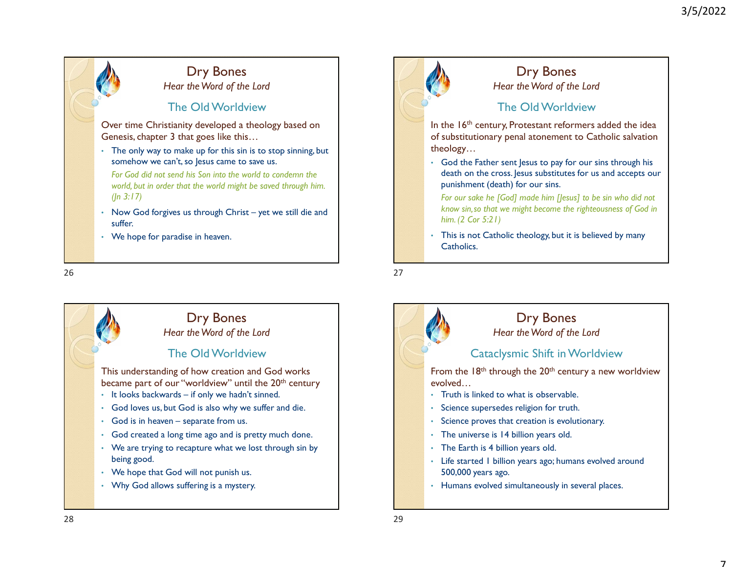# The Old Worldview Over time Christianity developed a theology based on Genesis, chapter 3 that goes like this… The only way to make up for this sin is to stop sinning, but somehow we can't, so Jesus came to save us. For God did not send his Son into the world to condemn the world, but in order that the world might be saved through him.  $(ln 3:17)$ **Example 19 The Cold Worldwiew**<br>
The Cold Worldwiew<br>
The Cold Worldwiew<br>
The Cold Worldwiew<br>
The Cold Worldwiew<br>
The Cold Worldwiew<br>
The Cold Worldwiew<br>
The Cold Worldwiew<br>
The Cold Worldwiew<br>
The Cold Worldwiew<br>
The Cold suffer. • We hope for paradise in heaven. Dry Bones Hear the Word of the Lord somehow we can't, so Jesus came to save us.<br>
You Cod die Father<br>
World, but in order that the world might be soved through him.<br>
(In 3:17)<br>
Now God forgives us through Christ – yet we still die and<br>
Now Solar Scatter of t Dry Bones<br>
Hear the Word of the Lord<br>
The Old Worldview<br>
The Condition of the Lord<br>
The Condition of the Lord<br>
Chensics chapter 3 charges like this,...<br>
The Condition of the Lord<br>
Some to the Sin line of the state of the

# Dry Bones

Hear the Word of the Lord

## The Old Worldview

This understanding of how creation and God works became part of our "worldview" until the  $20<sup>th</sup>$  century

- 
- 
- 
- 
- being good.
- We hope that God will not punish us.
- Why God allows suffering is a mystery.



# Dry Bones

Hear the Word of the Lord

## The Old Worldview

In the 16<sup>th</sup> century, Protestant reformers added the idea of substitutionary penal atonement to Catholic salvation theology…

• God the Father sent Jesus to pay for our sins through his death on the cross. Jesus substitutes for us and accepts our punishment (death) for our sins.

For our sake he [God] made him [Jesus] to be sin who did not know sin,so that we might become the righteousness of God in him. (2 Cor 5:21)

This is not Catholic theology, but it is believed by many Catholics.



• Humans evolved simultaneously in several places.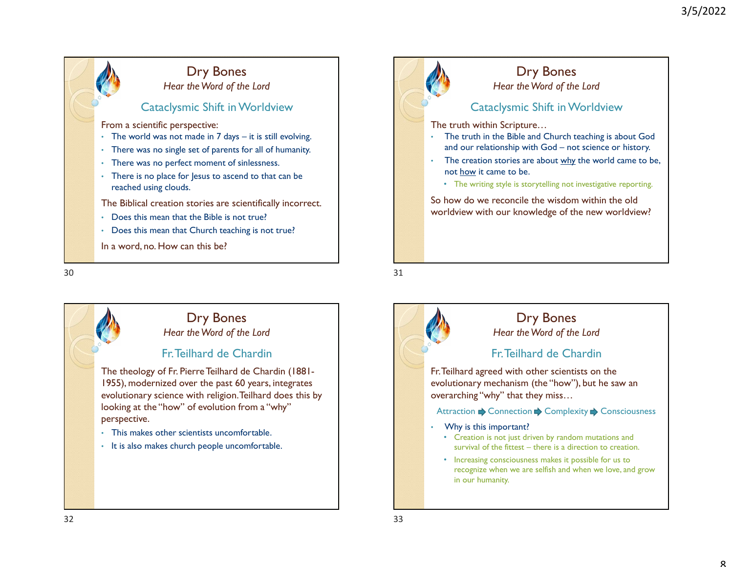## Dry Bones Hear the Word of the Lord

#### Cataclysmic Shift in Worldview

From a scientific perspective:

- 
- 
- 
- reached using clouds.

The Biblical creation stories are scientifically incorrect.

- Does this mean that the Bible is not true?
- Does this mean that Church teaching is not true?
- In a word, no. How can this be?





# Dry Bones

Hear the Word of the Lord

## Cataclysmic Shift in Worldview

The truth within Scripture…

- The truth in the Bible and Church teaching is about God
- 3/5/2022<br> **and our relationship with God not science or history.**<br>
The truth within Scripture...<br>
The truth in the Bible and Church teaching is about God<br>
and our relationship with God not science or history.<br>
The crea 3/5/2022<br>
Dry Bones<br>
Hear the Word of the Lord<br>
Cataclysmic Shift in Worldview<br>
e truth within Scripture...<br>
The truth in the Bible and Church teaching is about God<br>
and our relationship with God – not science or history.<br>
	-

So how do we reconcile the wisdom within the old worldview with our knowledge of the new worldview?

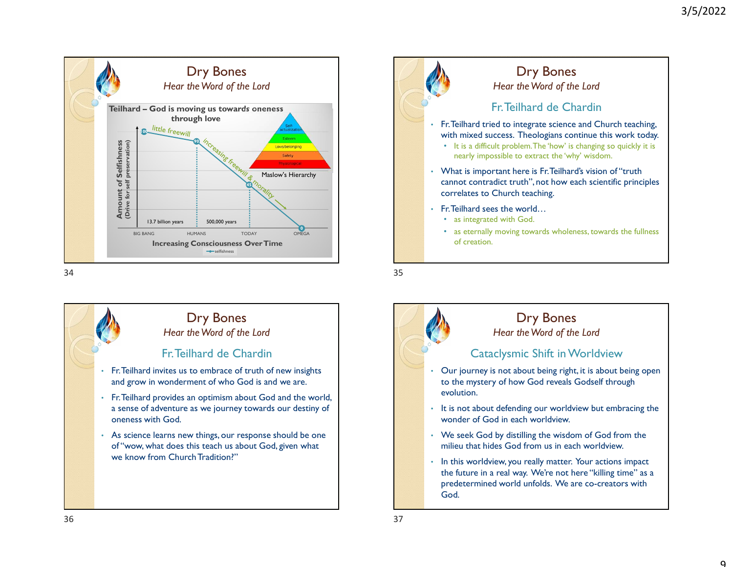





Dry Bones